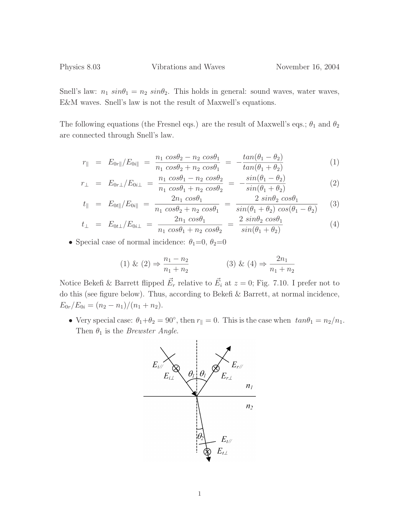Physics 8.03 Vibrations and Waves November 16, 2004

Snell's law:  $n_1 \, sin\theta_1 = n_2 \, sin\theta_2$ . This holds in general: sound waves, water waves, E&M waves. Snell's law is not the result of Maxwell's equations.

The following equations (the Fresnel eqs.) are the result of Maxwell's eqs.;  $\theta_1$  and  $\theta_2$ are connected through Snell's law.

$$
r_{\parallel} = E_{0r\parallel}/E_{0i\parallel} = \frac{n_1 \cos\theta_2 - n_2 \cos\theta_1}{n_1 \cos\theta_2 + n_2 \cos\theta_1} = -\frac{\tan(\theta_1 - \theta_2)}{\tan(\theta_1 + \theta_2)}
$$
(1)

$$
r_{\perp} = E_{0r\perp}/E_{0i\perp} = \frac{n_1 \cos\theta_1 - n_2 \cos\theta_2}{n_1 \cos\theta_1 + n_2 \cos\theta_2} = -\frac{\sin(\theta_1 - \theta_2)}{\sin(\theta_1 + \theta_2)}
$$
(2)

$$
t_{\parallel} = E_{0t\parallel}/E_{0i\parallel} = \frac{2n_1 \cos\theta_1}{n_1 \cos\theta_2 + n_2 \cos\theta_1} = \frac{2 \sin\theta_2 \cos\theta_1}{\sin(\theta_1 + \theta_2) \cos(\theta_1 - \theta_2)}
$$
(3)

$$
t_{\perp} = E_{0t\perp}/E_{0i\perp} = \frac{2n_1 \cos\theta_1}{n_1 \cos\theta_1 + n_2 \cos\theta_2} = \frac{2 \sin\theta_2 \cos\theta_1}{\sin(\theta_1 + \theta_2)}
$$
(4)

• Special case of normal incidence:  $\theta_1=0, \theta_2=0$ 

(1) & (2) 
$$
\Rightarrow \frac{n_1 - n_2}{n_1 + n_2}
$$
 \t\t (3) & (4)  $\Rightarrow \frac{2n_1}{n_1 + n_2}$ 

Notice Bekefi & Barrett flipped  $\vec{E_r}$  relative to  $\vec{E_i}$  at  $z = 0$ ; Fig. 7.10. I prefer not to do this (see figure below). Thus, according to Bekefi & Barrett, at normal incidence,  $E_{0r}/E_{0i} = (n_2 - n_1)/(n_1 + n_2).$ 

• Very special case:  $\theta_1 + \theta_2 = 90^\circ$ , then  $r_{\parallel} = 0$ . This is the case when  $tan \theta_1 = n_2/n_1$ . Then  $\theta_1$  is the *Brewster Angle*.